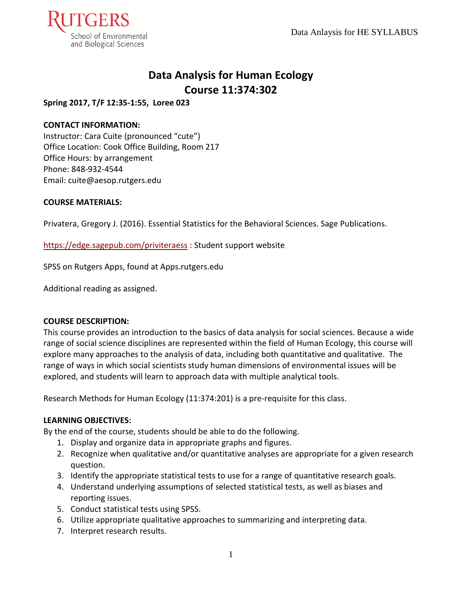

# **Data Analysis for Human Ecology Course 11:374:302**

## **Spring 2017, T/F 12:35-1:55, Loree 023**

## **CONTACT INFORMATION:**

Instructor: Cara Cuite (pronounced "cute") Office Location: Cook Office Building, Room 217 Office Hours: by arrangement Phone: 848-932-4544 Email: cuite@aesop.rutgers.edu

### **COURSE MATERIALS:**

Privatera, Gregory J. (2016). Essential Statistics for the Behavioral Sciences. Sage Publications.

### <https://edge.sagepub.com/priviteraess> : Student support website

SPSS on Rutgers Apps, found at Apps.rutgers.edu

Additional reading as assigned.

### **COURSE DESCRIPTION:**

This course provides an introduction to the basics of data analysis for social sciences. Because a wide range of social science disciplines are represented within the field of Human Ecology, this course will explore many approaches to the analysis of data, including both quantitative and qualitative. The range of ways in which social scientists study human dimensions of environmental issues will be explored, and students will learn to approach data with multiple analytical tools.

Research Methods for Human Ecology (11:374:201) is a pre-requisite for this class.

### **LEARNING OBJECTIVES:**

By the end of the course, students should be able to do the following.

- 1. Display and organize data in appropriate graphs and figures.
- 2. Recognize when qualitative and/or quantitative analyses are appropriate for a given research question.
- 3. Identify the appropriate statistical tests to use for a range of quantitative research goals.
- 4. Understand underlying assumptions of selected statistical tests, as well as biases and reporting issues.
- 5. Conduct statistical tests using SPSS.
- 6. Utilize appropriate qualitative approaches to summarizing and interpreting data.
- 7. Interpret research results.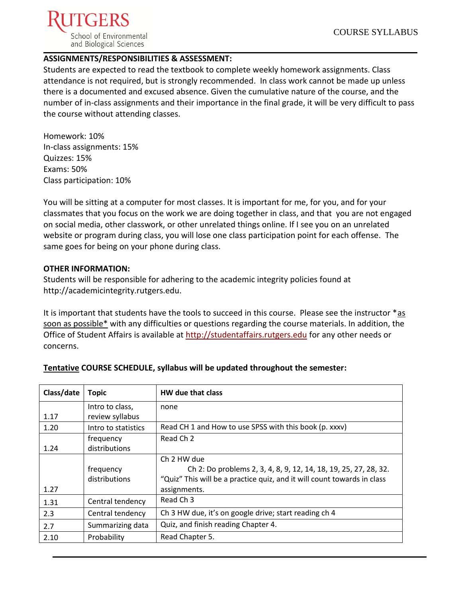

## **ASSIGNMENTS/RESPONSIBILITIES & ASSESSMENT:**

Students are expected to read the textbook to complete weekly homework assignments. Class attendance is not required, but is strongly recommended. In class work cannot be made up unless there is a documented and excused absence. Given the cumulative nature of the course, and the number of in-class assignments and their importance in the final grade, it will be very difficult to pass the course without attending classes.

Homework: 10% In-class assignments: 15% Quizzes: 15% Exams: 50% Class participation: 10%

You will be sitting at a computer for most classes. It is important for me, for you, and for your classmates that you focus on the work we are doing together in class, and that you are not engaged on social media, other classwork, or other unrelated things online. If I see you on an unrelated website or program during class, you will lose one class participation point for each offense. The same goes for being on your phone during class.

#### **OTHER INFORMATION:**

Students will be responsible for adhering to the academic integrity policies found at http://academicintegrity.rutgers.edu.

It is important that students have the tools to succeed in this course. Please see the instructor \*as soon as possible\* with any difficulties or questions regarding the course materials. In addition, the Office of Student Affairs is available at [http://studentaffairs.rutgers.edu](http://studentaffairs.rutgers.edu/) for any other needs or concerns.

| Class/date | <b>Topic</b>        | HW due that class                                                       |
|------------|---------------------|-------------------------------------------------------------------------|
|            | Intro to class,     | none                                                                    |
| 1.17       | review syllabus     |                                                                         |
| 1.20       | Intro to statistics | Read CH 1 and How to use SPSS with this book (p. xxxv)                  |
|            | frequency           | Read Ch 2                                                               |
| 1.24       | distributions       |                                                                         |
|            |                     | Ch 2 HW due                                                             |
|            | frequency           | Ch 2: Do problems 2, 3, 4, 8, 9, 12, 14, 18, 19, 25, 27, 28, 32.        |
|            | distributions       | "Quiz" This will be a practice quiz, and it will count towards in class |
| 1.27       |                     | assignments.                                                            |
| 1.31       | Central tendency    | Read Ch <sub>3</sub>                                                    |
| 2.3        | Central tendency    | Ch 3 HW due, it's on google drive; start reading ch 4                   |
| 2.7        | Summarizing data    | Quiz, and finish reading Chapter 4.                                     |
| 2.10       | Probability         | Read Chapter 5.                                                         |

### **Tentative COURSE SCHEDULE, syllabus will be updated throughout the semester:**